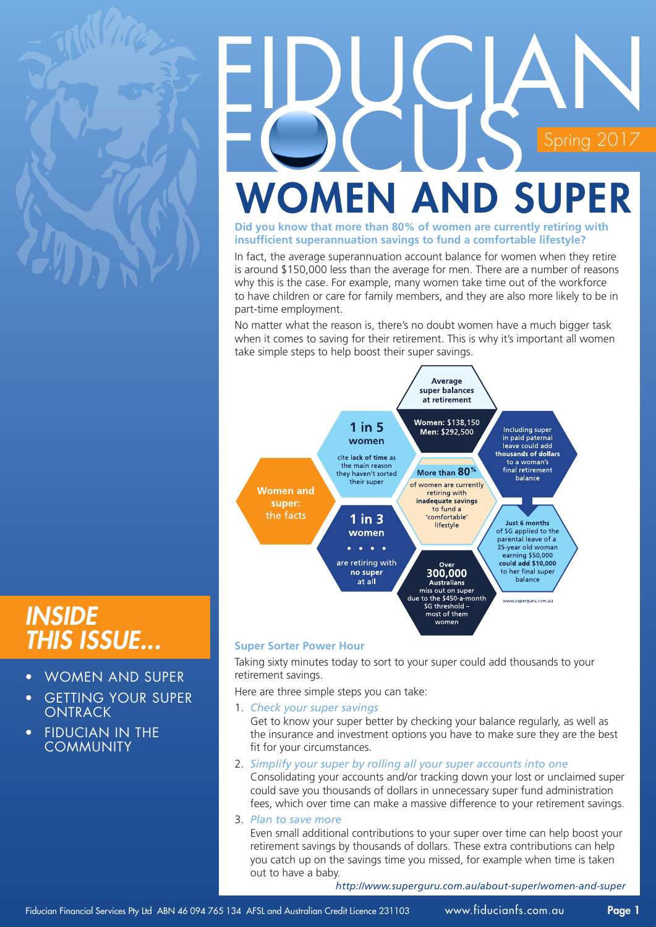

# FIDUCIAN  $\frac{2017}{ }$ **VOMEN AND SUPEI**

**Did you know that more than 80% of women are currently retiring with insufficient superannuation savings to fund a comfortable lifestyle?**

In fact, the average superannuation account balance for women when they retire is around \$150,000 less than the average for men. There are a number of reasons why this is the case. For example, many women take time out of the workforce to have children or care for family members, and they are also more likely to be in part-time employment.

No matter what the reason is, there's no doubt women have a much bigger task when it comes to saving for their retirement. This is why it's important all women take simple steps to help boost their super savings.



### *Inside this issue...*

- WOMEN AND SUPER
- **GETTING YOUR SUPER** ONTRACK
- **FIDUCIAN IN THE COMMUNITY**

**Super Sorter Power Hour**

Taking sixty minutes today to sort to your super could add thousands to your retirement savings.

Here are three simple steps you can take:

- 1. *Check your super savings*  Get to know your super better by checking your balance regularly, as well as the insurance and investment options you have to make sure they are the best fit for your circumstances.
- 2. *Simplify your super by rolling all your super accounts into one* Consolidating your accounts and/or tracking down your lost or unclaimed super could save you thousands of dollars in unnecessary super fund administration fees, which over time can make a massive difference to your retirement savings.
- 3. *Plan to save more*  Even small additional contributions to your super over time can help boost your retirement savings by thousands of dollars. These extra contributions can help you catch up on the savings time you missed, for example when time is taken out to have a baby.

*http://www.superguru.com.au/about-super/women-and-super*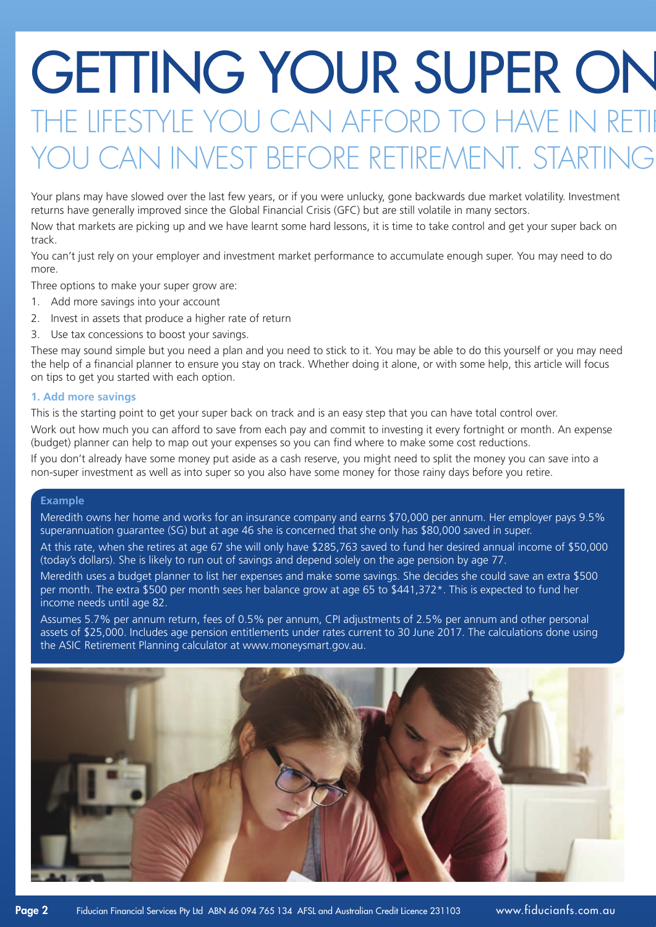### GETTING YOUR SUPER ON HE LIFESTYLE YOU CAN AFFORD TO HAVE IN RETI CAN INVEST BEFORE RETIREMENT. STARTING

Your plans may have slowed over the last few years, or if you were unlucky, gone backwards due market volatility. Investment returns have generally improved since the Global Financial Crisis (GFC) but are still volatile in many sectors.

Now that markets are picking up and we have learnt some hard lessons, it is time to take control and get your super back on track.

You can't just rely on your employer and investment market performance to accumulate enough super. You may need to do more.

Three options to make your super grow are:

- 1. Add more savings into your account
- 2. Invest in assets that produce a higher rate of return
- 3. Use tax concessions to boost your savings.

These may sound simple but you need a plan and you need to stick to it. You may be able to do this yourself or you may need the help of a financial planner to ensure you stay on track. Whether doing it alone, or with some help, this article will focus on tips to get you started with each option.

#### **1. Add more savings**

This is the starting point to get your super back on track and is an easy step that you can have total control over.

Work out how much you can afford to save from each pay and commit to investing it every fortnight or month. An expense (budget) planner can help to map out your expenses so you can find where to make some cost reductions.

If you don't already have some money put aside as a cash reserve, you might need to split the money you can save into a non-super investment as well as into super so you also have some money for those rainy days before you retire.

#### **Example**

Meredith owns her home and works for an insurance company and earns \$70,000 per annum. Her employer pays 9.5% superannuation guarantee (SG) but at age 46 she is concerned that she only has \$80,000 saved in super.

At this rate, when she retires at age 67 she will only have \$285,763 saved to fund her desired annual income of \$50,000 (today's dollars). She is likely to run out of savings and depend solely on the age pension by age 77.

Meredith uses a budget planner to list her expenses and make some savings. She decides she could save an extra \$500 per month. The extra \$500 per month sees her balance grow at age 65 to \$441,372\*. This is expected to fund her income needs until age 82.

Assumes 5.7% per annum return, fees of 0.5% per annum, CPI adjustments of 2.5% per annum and other personal assets of \$25,000. Includes age pension entitlements under rates current to 30 June 2017. The calculations done using the ASIC Retirement Planning calculator at www.moneysmart.gov.au.

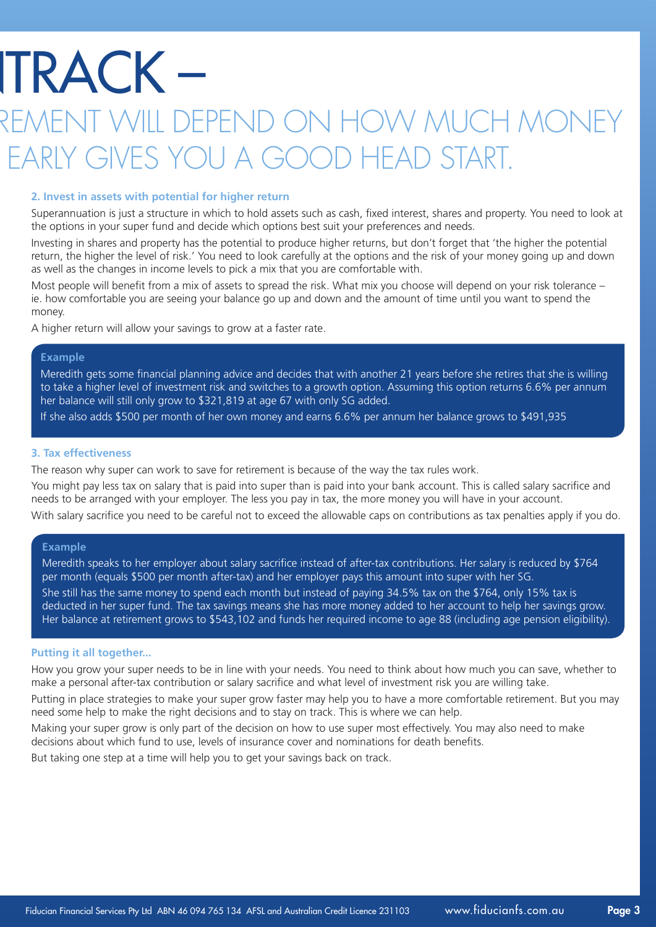## **TRACK –**

### 1ENT WILL DEPEND ON HOW MUCH MONE EARLY GIVES YOU A GOOD HFAD START

#### **2. Invest in assets with potential for higher return**

Superannuation is just a structure in which to hold assets such as cash, fixed interest, shares and property. You need to look at the options in your super fund and decide which options best suit your preferences and needs.

Investing in shares and property has the potential to produce higher returns, but don't forget that 'the higher the potential return, the higher the level of risk.' You need to look carefully at the options and the risk of your money going up and down as well as the changes in income levels to pick a mix that you are comfortable with.

Most people will benefit from a mix of assets to spread the risk. What mix you choose will depend on your risk tolerance – ie. how comfortable you are seeing your balance go up and down and the amount of time until you want to spend the money.

A higher return will allow your savings to grow at a faster rate.

#### **Example**

Meredith gets some financial planning advice and decides that with another 21 years before she retires that she is willing to take a higher level of investment risk and switches to a growth option. Assuming this option returns 6.6% per annum her balance will still only grow to \$321,819 at age 67 with only SG added.

If she also adds \$500 per month of her own money and earns 6.6% per annum her balance grows to \$491,935

#### **3. Tax effectiveness**

The reason why super can work to save for retirement is because of the way the tax rules work.

You might pay less tax on salary that is paid into super than is paid into your bank account. This is called salary sacrifice and needs to be arranged with your employer. The less you pay in tax, the more money you will have in your account.

With salary sacrifice you need to be careful not to exceed the allowable caps on contributions as tax penalties apply if you do.

#### **Example**

Meredith speaks to her employer about salary sacrifice instead of after-tax contributions. Her salary is reduced by \$764 per month (equals \$500 per month after-tax) and her employer pays this amount into super with her SG.

She still has the same money to spend each month but instead of paying 34.5% tax on the \$764, only 15% tax is deducted in her super fund. The tax savings means she has more money added to her account to help her savings grow. Her balance at retirement grows to \$543,102 and funds her required income to age 88 (including age pension eligibility).

#### **Putting it all together...**

How you grow your super needs to be in line with your needs. You need to think about how much you can save, whether to make a personal after-tax contribution or salary sacrifice and what level of investment risk you are willing take.

Putting in place strategies to make your super grow faster may help you to have a more comfortable retirement. But you may need some help to make the right decisions and to stay on track. This is where we can help.

Making your super grow is only part of the decision on how to use super most effectively. You may also need to make decisions about which fund to use, levels of insurance cover and nominations for death benefits.

But taking one step at a time will help you to get your savings back on track.